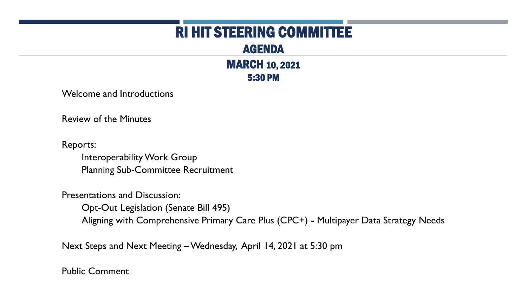### RI HIT STEERING COMMITTEE

AGENDA MARCH 10, 2021 5:30 PM

Welcome and Introductions

Review of the Minutes

Reports:

Interoperability Work Group Planning Sub-Committee Recruitment

Presentations and Discussion:

Opt-Out Legislation (Senate Bill 495)

Aligning with Comprehensive Primary Care Plus (CPC+) - Multipayer Data Strategy Needs

Next Steps and Next Meeting –Wednesday, April 14, 2021 at 5:30 pm

Public Comment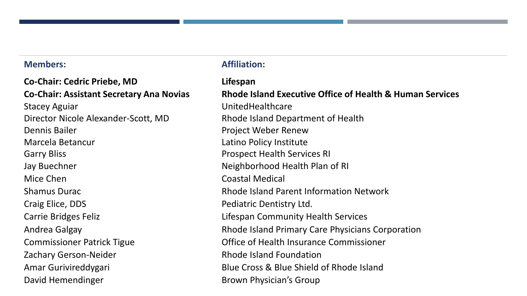**Co-Chair: Cedric Priebe, MD Lifespan**  Stacey Aguiar **No. 2018** Stacey Aguiar **UnitedHealthcare** Director Nicole Alexander-Scott, MD Rhode Island Department of Health Dennis Bailer **Dennis Bailer** Project Weber Renew Marcela Betancur **Latino Policy Institute** Garry Bliss **Garry Bliss Prospect Health Services RI** Jay Buechner Neighborhood Health Plan of RI Mice Chen Coastal Medical Craig Elice, DDS **Pediatric Dentistry Ltd.** Carrie Bridges Feliz **Lifespan Community Health Services** Zachary Gerson-Neider **Rhode Island Foundation** David Hemendinger **Brown Physician's Group** 

#### **Members:** Affiliation:

**Co-Chair: Assistant Secretary Ana Novias Rhode Island Executive Office of Health & Human Services** Shamus Durac **Rhode Island Parent Information Network** Andrea Galgay Rhode Island Primary Care Physicians Corporation Commissioner Patrick Tigue Office of Health Insurance Commissioner Amar Gurivireddygari Blue Cross & Blue Shield of Rhode Island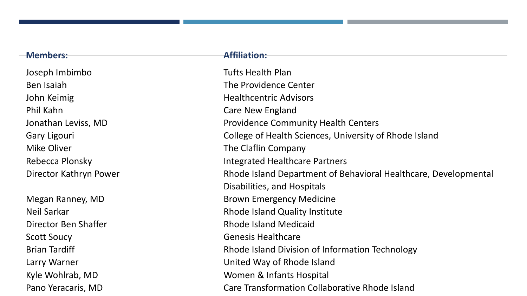#### **Members: Affiliation:**

Joseph Imbimbo Tufts Health Plan Ben Isaiah The Providence Center John Keimig **Healthcentric Advisors Healthcentric Advisors** Phil Kahn Care New England Mike Oliver **The Claflin Company** 

Scott Soucy **Genesis Healthcare** 

Jonathan Leviss, MD **Providence Community Health Centers** Gary Ligouri College of Health Sciences, University of Rhode Island Rebecca Plonsky **Integrated Healthcare Partners** Director Kathryn Power **Rhode Island Department of Behavioral Healthcare**, Developmental Disabilities, and Hospitals Megan Ranney, MD Brown Emergency Medicine Neil Sarkar Rhode Island Quality Institute Director Ben Shaffer **Rhode Island Medicaid** Brian Tardiff **Rhode Island Division of Information Technology** Larry Warner **Larry Warner United Way of Rhode Island** Kyle Wohlrab, MD Women & Infants Hospital Pano Yeracaris, MD Care Transformation Collaborative Rhode Island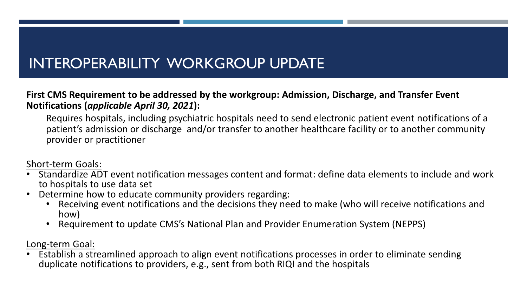### INTEROPERABILITY WORKGROUP UPDATE

#### **First CMS Requirement to be addressed by the workgroup: Admission, Discharge, and Transfer Event Notifications (***applicable April 30, 2021***):**

Requires hospitals, including psychiatric hospitals need to send electronic patient event notifications of a patient's admission or discharge and/or transfer to another healthcare facility or to another community provider or practitioner

Short-term Goals:

- Standardize ADT event notification messages content and format: define data elements to include and work to hospitals to use data set
- Determine how to educate community providers regarding:
	- Receiving event notifications and the decisions they need to make (who will receive notifications and how)
	- Requirement to update CMS's National Plan and Provider Enumeration System (NEPPS)

Long-term Goal:

• Establish a streamlined approach to align event notifications processes in order to eliminate sending duplicate notifications to providers, e.g., sent from both RIQI and the hospitals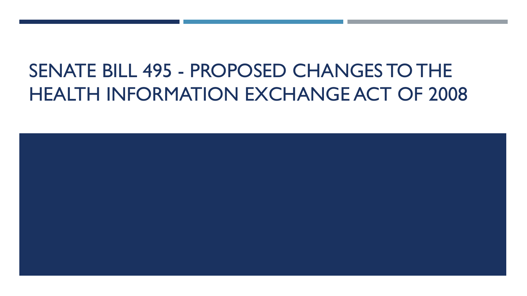# SENATE BILL 495 - PROPOSED CHANGES TO THE HEALTH INFORMATION EXCHANGE ACT OF 2008

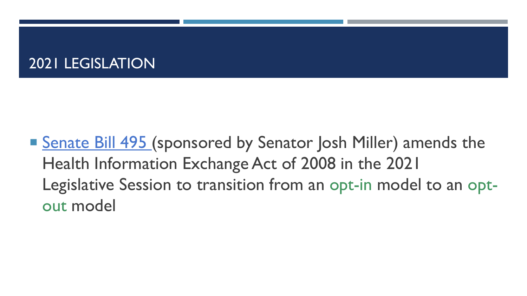### 2021 LEGISLATION

■ [Senate Bill 495](http://webserver.rilin.state.ri.us/BillText/BillText21/SenateText21/S0495.pdf) (sponsored by Senator Josh Miller) amends the Health Information Exchange Act of 2008 in the 2021 Legislative Session to transition from an opt-in model to an optout model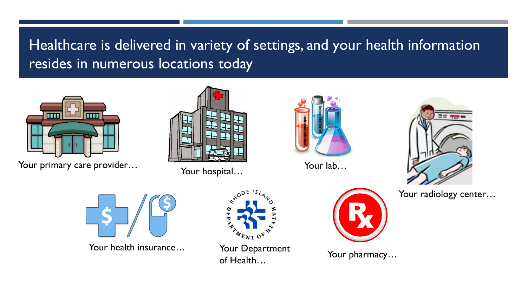## Healthcare is delivered in variety of settings, and your health information resides in numerous locations today



Your primary care provider… The Your hospital…





Your lab…



Your radiology center...



Your health insurance…



Your Department of Health…



Your pharmacy…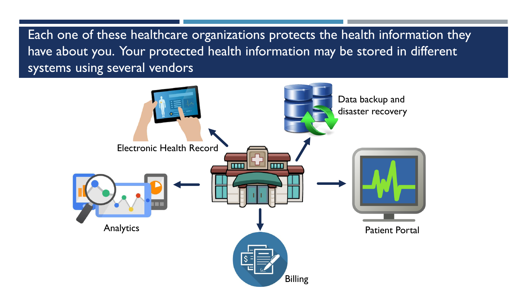Each one of these healthcare organizations protects the health information they have about you. Your protected health information may be stored in different systems using several vendors

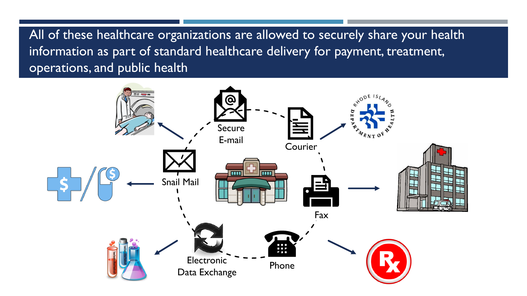All of these healthcare organizations are allowed to securely share your health information as part of standard healthcare delivery for payment, treatment, operations, and public health

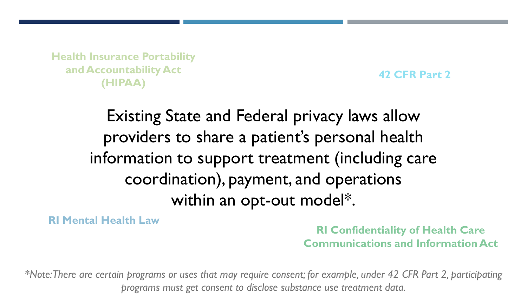**Health Insurance Portability<br>and Accountability Act and Accountability Act (HIPAA)**

**42 CFR Part 2**

# Existing State and Federal privacy laws allow providers to share a patient's personal health information to support treatment (including care coordination), payment, and operations within an opt-out model\*.

**RI Mental Health Law**

**RI Confidentiality of Health Care Communications and Information Act**

*\*Note: There are certain programs or uses that may require consent; for example, under 42 CFR Part 2, participating programs must get consent to disclose substance use treatment data.*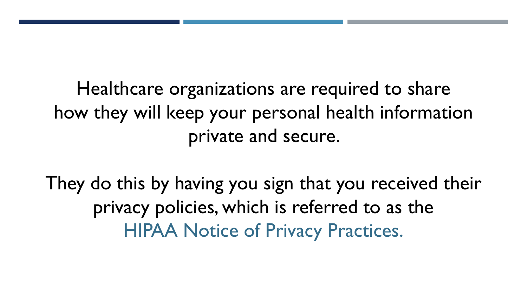Healthcare organizations are required to share how they will keep your personal health information private and secure.

They do this by having you sign that you received their privacy policies, which is referred to as the HIPAA Notice of Privacy Practices.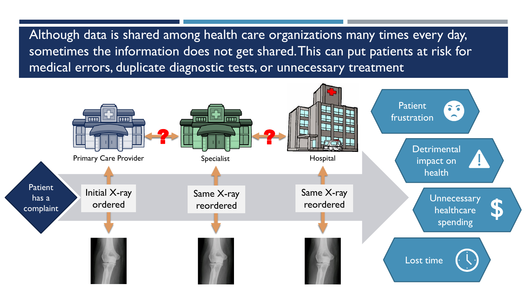Although data is shared among health care organizations many times every day, sometimes the information does not get shared. This can put patients at risk for medical errors, duplicate diagnostic tests, or unnecessary treatment

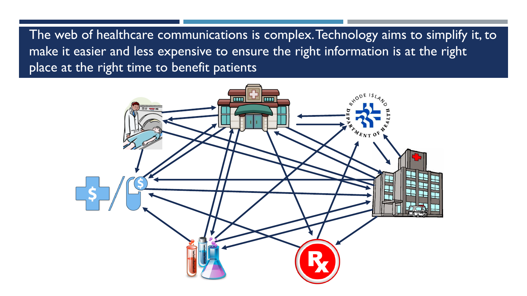The web of healthcare communications is complex. Technology aims to simplify it, to make it easier and less expensive to ensure the right information is at the right place at the right time to benefit patients

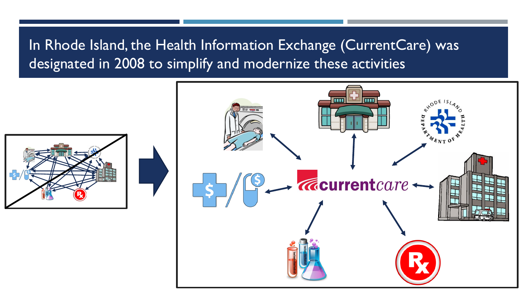### In Rhode Island, the Health Information Exchange (CurrentCare) was designated in 2008 to simplify and modernize these activities



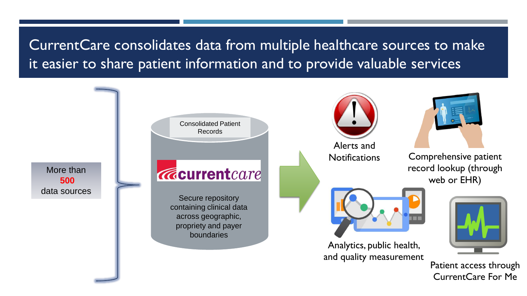CurrentCare consolidates data from multiple healthcare sources to make it easier to share patient information and to provide valuable services

Consolidated Patient Records Alerts and Notifications Comprehensive patient record lookup (through More than **Acurrent** care web or EHR) **500** data sources Secure repository containing clinical data across geographic, propriety and payer boundaries Analytics, public health, and quality measurement Patient access through

CurrentCare For Me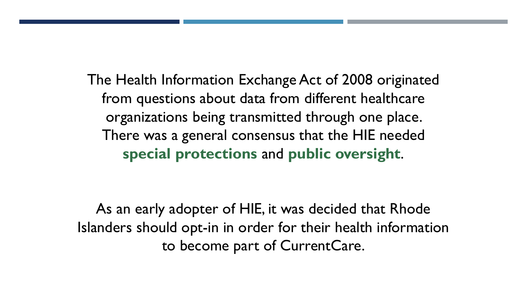The Health Information Exchange Act of 2008 originated from questions about data from different healthcare organizations being transmitted through one place. There was a general consensus that the HIE needed **special protections** and **public oversight**.

As an early adopter of HIE, it was decided that Rhode Islanders should opt-in in order for their health information to become part of CurrentCare.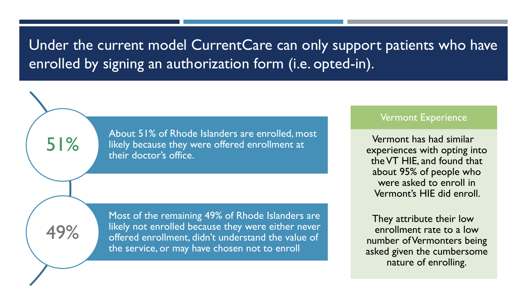### Under the current model CurrentCare can only support patients who have enrolled by signing an authorization form (i.e. opted-in).

About 51% of Rhode Islanders are enrolled, most likely because they were offered enrollment at their doctor's office.

51%

49%

Most of the remaining 49% of Rhode Islanders are likely not enrolled because they were either never offered enrollment, didn't understand the value of the service, or may have chosen not to enroll

#### Vermont Experience

Vermont has had similar experiences with opting into the VT HIE, and found that about 95% of people who were asked to enroll in Vermont's HIE did enroll.

They attribute their low enrollment rate to a low number of Vermonters being asked given the cumbersome nature of enrolling.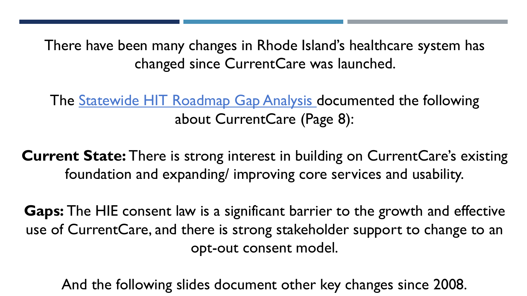There have been many changes in Rhode Island's healthcare system has changed since CurrentCare was launched.

The **Statewide HIT Roadmap Gap Analysis** documented the following about CurrentCare (Page 8):

**Current State:** There is strong interest in building on CurrentCare's existing foundation and expanding/ improving core services and usability.

**Gaps:** The HIE consent law is a significant barrier to the growth and effective use of CurrentCare, and there is strong stakeholder support to change to an opt-out consent model.

And the following slides document other key changes since 2008.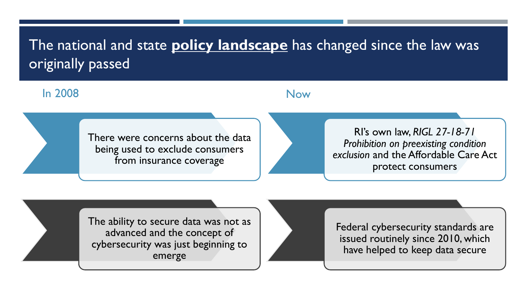## The national and state **policy landscape** has changed since the law was originally passed

#### In 2008

#### Now

There were concerns about the data being used to exclude consumers from insurance coverage

RI's own law, *RIGL 27-18-71 Prohibition on preexisting condition exclusion* and the Affordable Care Act protect consumers

The ability to secure data was not as advanced and the concept of cybersecurity was just beginning to emerge

Federal cybersecurity standards are issued routinely since 2010, which have helped to keep data secure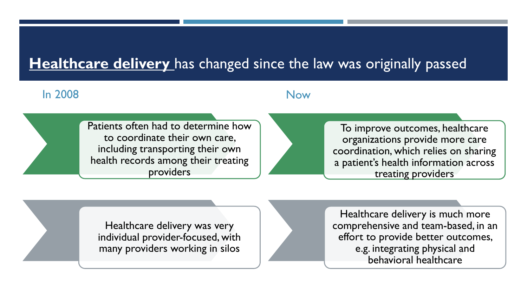### **Healthcare delivery** has changed since the law was originally passed

#### In 2008

#### Now

Patients often had to determine how to coordinate their own care, including transporting their own health records among their treating providers

To improve outcomes, healthcare organizations provide more care coordination, which relies on sharing a patient's health information across treating providers

Healthcare delivery was very individual provider-focused, with many providers working in silos

Healthcare delivery is much more comprehensive and team-based, in an effort to provide better outcomes, e.g. integrating physical and behavioral healthcare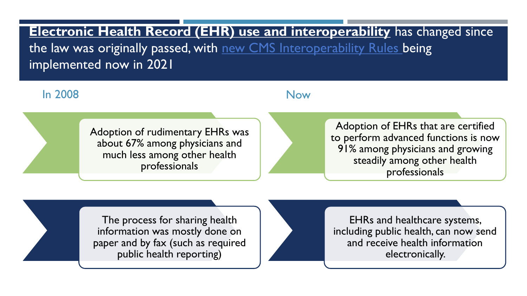**Electronic Health Record (EHR) use and interoperability** has changed since the law was originally passed, with [new CMS Interoperability Rules](https://www.cms.gov/Regulations-and-Guidance/Guidance/Interoperability/index#CMS-Interoperability-and-Patient-Access-Final-Rule) being implemented now in 2021

#### In 2008

#### Now

Adoption of rudimentary EHRs was about 67% among physicians and much less among other health professionals

Adoption of EHRs that are certified to perform advanced functions is now 91% among physicians and growing steadily among other health professionals

The process for sharing health information was mostly done on paper and by fax (such as required public health reporting)

EHRs and healthcare systems, including public health, can now send and receive health information electronically.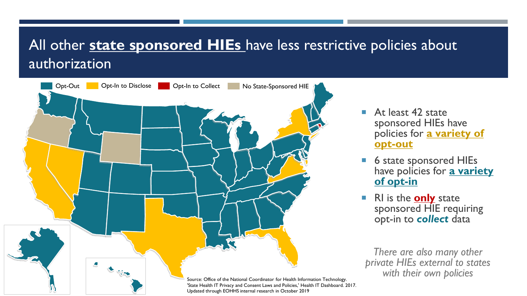### All other **state sponsored HIEs** have less restrictive policies about authorization



- At least 42 state sponsored HIEs have policies for **a variety of opt-out**
- 6 state sponsored HIEs have policies for **a variety of opt-in**
- RI is the **only** state sponsored HIE requiring opt-in to *collect* data

*There are also many other private HIEs external to states with their own policies*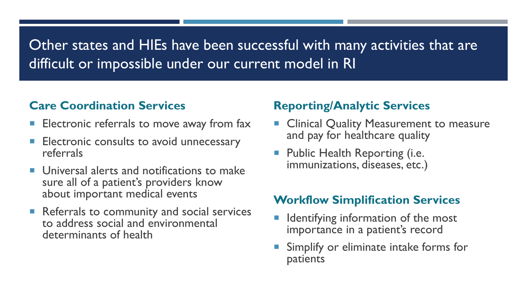### Other states and HIEs have been successful with many activities that are difficult or impossible under our current model in RI

### **Care Coordination Services**

- Electronic referrals to move away from fax
- Electronic consults to avoid unnecessary referrals
- **Universal alerts and notifications to make** sure all of a patient's providers know about important medical events
- Referrals to community and social services to address social and environmental determinants of health

#### **Reporting/Analytic Services**

- **Clinical Quality Measurement to measure** and pay for healthcare quality
- Public Health Reporting (i.e. immunizations, diseases, etc.)

#### **Workflow Simplification Services**

- Identifying information of the most importance in a patient's record
- Simplify or eliminate intake forms for patients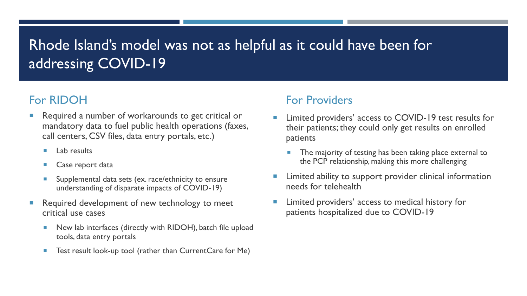### Rhode Island's model was not as helpful as it could have been for addressing COVID-19

### For RIDOH

- Required a number of workarounds to get critical or mandatory data to fuel public health operations (faxes, call centers, CSV files, data entry portals, etc.)
	- **Lab results**
	- **Case report data**
	- **Supplemental data sets (ex. race/ethnicity to ensure** understanding of disparate impacts of COVID-19)
- Required development of new technology to meet critical use cases
	- New lab interfaces (directly with RIDOH), batch file upload tools, data entry portals
	- Test result look-up tool (rather than CurrentCare for Me)

#### For Providers

- Limited providers' access to COVID-19 test results for their patients; they could only get results on enrolled patients
	- The majority of testing has been taking place external to the PCP relationship, making this more challenging
- Limited ability to support provider clinical information needs for telehealth
- Limited providers' access to medical history for patients hospitalized due to COVID-19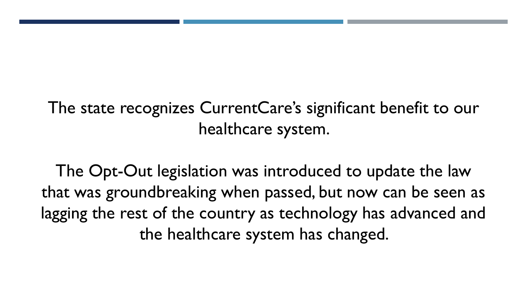# The state recognizes CurrentCare's significant benefit to our healthcare system.

The Opt-Out legislation was introduced to update the law that was groundbreaking when passed, but now can be seen as lagging the rest of the country as technology has advanced and the healthcare system has changed.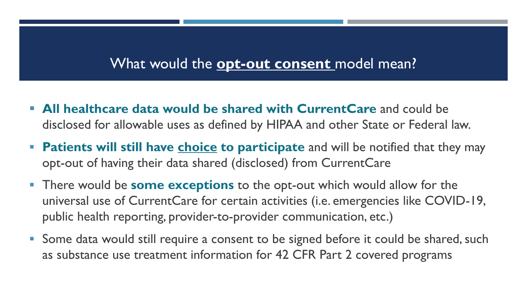### What would the **opt-out consent** model mean?

- **All healthcare data would be shared with CurrentCare** and could be disclosed for allowable uses as defined by HIPAA and other State or Federal law.
- **Patients will still have choice to participate** and will be notified that they may opt-out of having their data shared (disclosed) from CurrentCare
- **There would be some exceptions** to the opt-out which would allow for the universal use of CurrentCare for certain activities (i.e. emergencies like COVID-19, public health reporting, provider-to-provider communication, etc.)
- Some data would still require a consent to be signed before it could be shared, such as substance use treatment information for 42 CFR Part 2 covered programs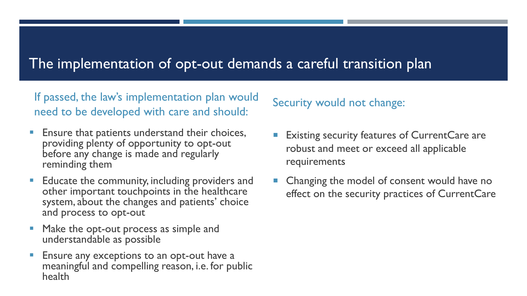### The implementation of opt-out demands a careful transition plan

If passed, the law's implementation plan would need to be developed with care and should:

- **Ensure that patients understand their choices,** providing plenty of opportunity to opt-out before any change is made and regularly reminding them
- **Educate the community, including providers and** other important touchpoints in the healthcare system, about the changes and patients' choice and process to opt-out
- Make the opt-out process as simple and understandable as possible
- **Ensure any exceptions to an opt-out have a** meaningful and compelling reason, i.e. for public health

### Security would not change:

- Existing security features of CurrentCare are robust and meet or exceed all applicable requirements
- Changing the model of consent would have no effect on the security practices of CurrentCare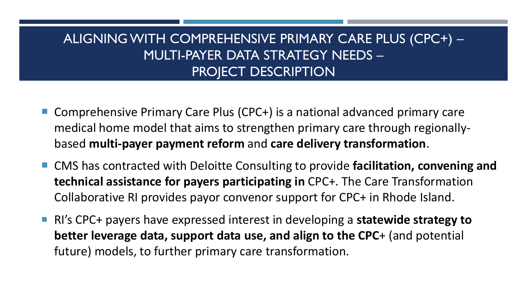### ALIGNING WITH COMPREHENSIVE PRIMARY CARE PLUS (CPC+) – MULTI-PAYER DATA STRATEGY NEEDS – PROJECT DESCRIPTION

- Comprehensive Primary Care Plus (CPC+) is a national advanced primary care medical home model that aims to strengthen primary care through regionallybased **multi-payer payment reform** and **care delivery transformation**.
- CMS has contracted with Deloitte Consulting to provide **facilitation, convening and technical assistance for payers participating in** CPC+. The Care Transformation Collaborative RI provides payor convenor support for CPC+ in Rhode Island.
- RI's CPC+ payers have expressed interest in developing a **statewide strategy to better leverage data, support data use, and align to the CPC**+ (and potential future) models, to further primary care transformation.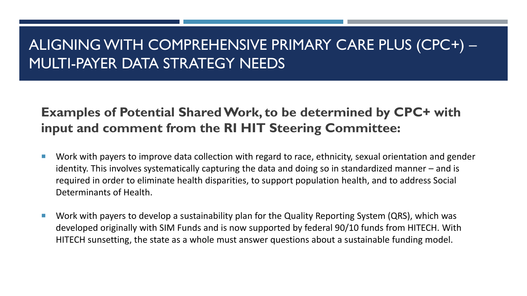### ALIGNING WITH COMPREHENSIVE PRIMARY CARE PLUS (CPC+) – MULTI-PAYER DATA STRATEGY NEEDS

### **Examples of Potential Shared Work, to be determined by CPC+ with input and comment from the RI HIT Steering Committee:**

- Work with payers to improve data collection with regard to race, ethnicity, sexual orientation and gender identity. This involves systematically capturing the data and doing so in standardized manner – and is required in order to eliminate health disparities, to support population health, and to address Social Determinants of Health.
- Work with payers to develop a sustainability plan for the Quality Reporting System (QRS), which was developed originally with SIM Funds and is now supported by federal 90/10 funds from HITECH. With HITECH sunsetting, the state as a whole must answer questions about a sustainable funding model.